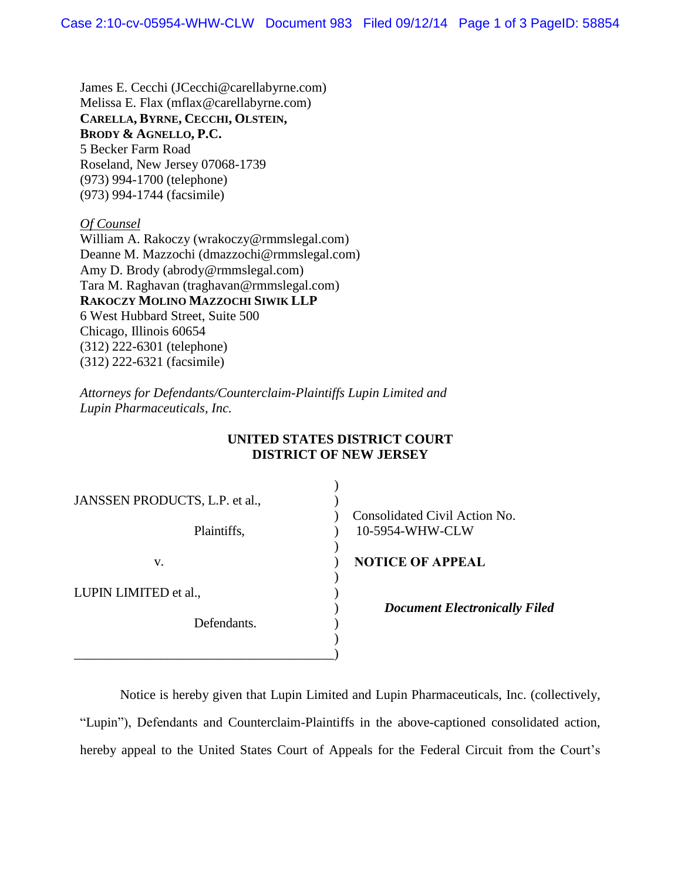James E. Cecchi (JCecchi@carellabyrne.com) Melissa E. Flax (mflax@carellabyrne.com) **CARELLA, BYRNE, CECCHI, OLSTEIN, BRODY & AGNELLO, P.C.** 5 Becker Farm Road Roseland, New Jersey 07068-1739 (973) 994-1700 (telephone) (973) 994-1744 (facsimile)

*Of Counsel*

William A. Rakoczy (wrakoczy@rmmslegal.com) Deanne M. Mazzochi (dmazzochi@rmmslegal.com) Amy D. Brody (abrody@rmmslegal.com) Tara M. Raghavan (traghavan@rmmslegal.com) **RAKOCZY MOLINO MAZZOCHI SIWIK LLP** 6 West Hubbard Street, Suite 500 Chicago, Illinois 60654 (312) 222-6301 (telephone) (312) 222-6321 (facsimile)

*Attorneys for Defendants/Counterclaim-Plaintiffs Lupin Limited and Lupin Pharmaceuticals, Inc.*

## **UNITED STATES DISTRICT COURT DISTRICT OF NEW JERSEY**

| JANSSEN PRODUCTS, L.P. et al., |                                                  |
|--------------------------------|--------------------------------------------------|
| Plaintiffs,                    | Consolidated Civil Action No.<br>10-5954-WHW-CLW |
| V.                             | <b>NOTICE OF APPEAL</b>                          |
| LUPIN LIMITED et al.,          | <b>Document Electronically Filed</b>             |
| Defendants.                    |                                                  |
|                                |                                                  |

Notice is hereby given that Lupin Limited and Lupin Pharmaceuticals, Inc. (collectively, "Lupin"), Defendants and Counterclaim-Plaintiffs in the above-captioned consolidated action, hereby appeal to the United States Court of Appeals for the Federal Circuit from the Court's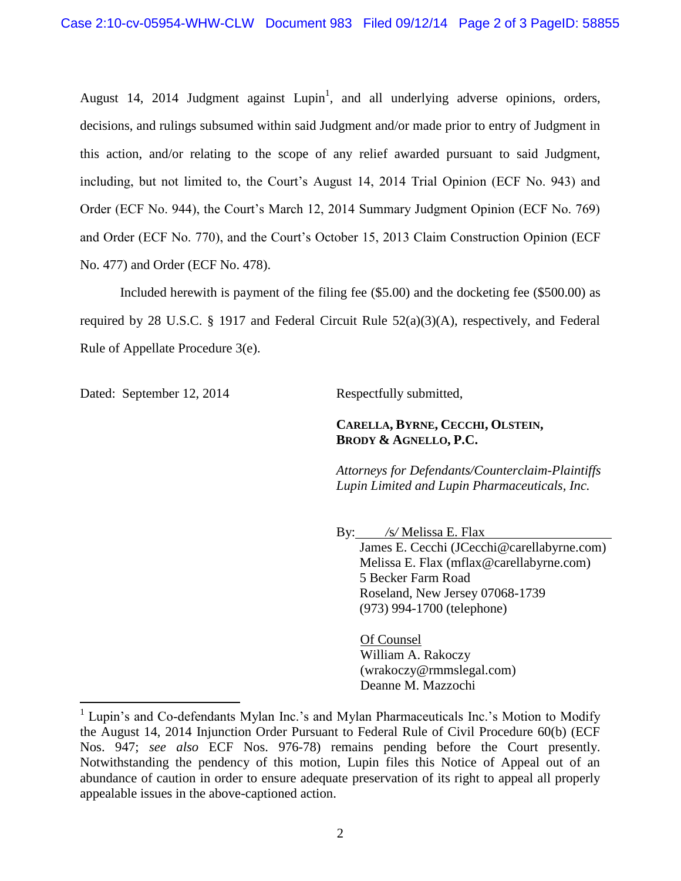August 14, 2014 Judgment against Lupin<sup>1</sup>, and all underlying adverse opinions, orders, decisions, and rulings subsumed within said Judgment and/or made prior to entry of Judgment in this action, and/or relating to the scope of any relief awarded pursuant to said Judgment, including, but not limited to, the Court's August 14, 2014 Trial Opinion (ECF No. 943) and Order (ECF No. 944), the Court's March 12, 2014 Summary Judgment Opinion (ECF No. 769) and Order (ECF No. 770), and the Court's October 15, 2013 Claim Construction Opinion (ECF No. 477) and Order (ECF No. 478).

Included herewith is payment of the filing fee (\$5.00) and the docketing fee (\$500.00) as required by 28 U.S.C. § 1917 and Federal Circuit Rule 52(a)(3)(A), respectively, and Federal Rule of Appellate Procedure 3(e).

Dated: September 12, 2014 Respectfully submitted,

 $\overline{a}$ 

## **CARELLA, BYRNE, CECCHI, OLSTEIN, BRODY & AGNELLO, P.C.**

*Attorneys for Defendants/Counterclaim-Plaintiffs Lupin Limited and Lupin Pharmaceuticals, Inc.* 

By: */*s*/* Melissa E. Flax James E. Cecchi (JCecchi@carellabyrne.com) Melissa E. Flax (mflax@carellabyrne.com) 5 Becker Farm Road Roseland, New Jersey 07068-1739 (973) 994-1700 (telephone)

Of Counsel William A. Rakoczy (wrakoczy@rmmslegal.com) Deanne M. Mazzochi

<sup>&</sup>lt;sup>1</sup> Lupin's and Co-defendants Mylan Inc.'s and Mylan Pharmaceuticals Inc.'s Motion to Modify the August 14, 2014 Injunction Order Pursuant to Federal Rule of Civil Procedure 60(b) (ECF Nos. 947; *see also* ECF Nos. 976-78) remains pending before the Court presently. Notwithstanding the pendency of this motion, Lupin files this Notice of Appeal out of an abundance of caution in order to ensure adequate preservation of its right to appeal all properly appealable issues in the above-captioned action.